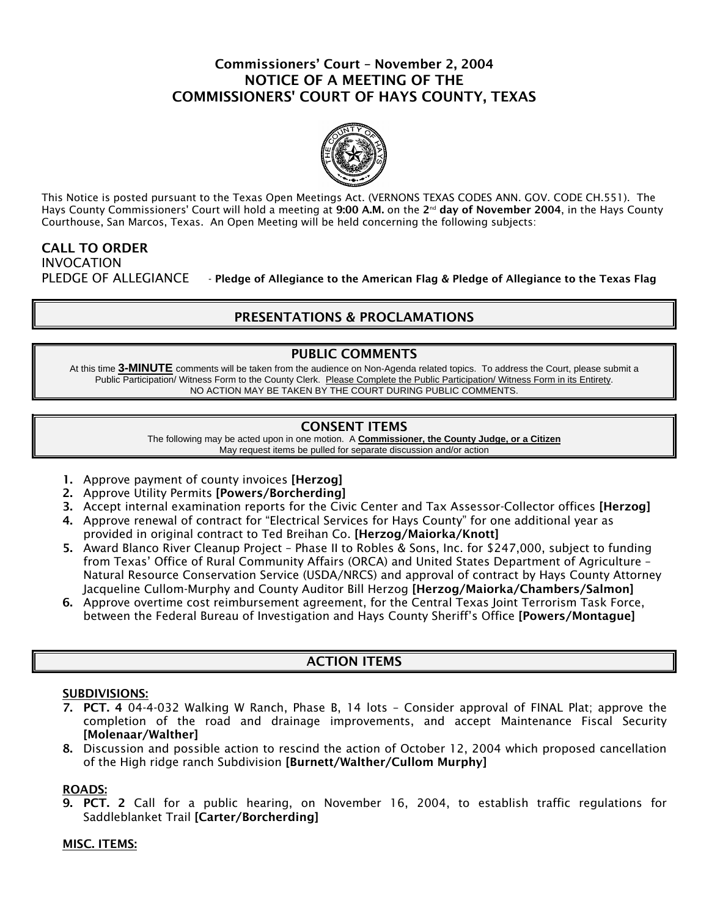### Commissioners' Court – November 2, 2004 NOTICE OF A MEETING OF THE COMMISSIONERS' COURT OF HAYS COUNTY, TEXAS



This Notice is posted pursuant to the Texas Open Meetings Act. (VERNONS TEXAS CODES ANN. GOV. CODE CH.551). The Hays County Commissioners' Court will hold a meeting at 9:00 A.M. on the 2<sup>nd</sup> day of November 2004, in the Hays County Courthouse, San Marcos, Texas. An Open Meeting will be held concerning the following subjects:

### CALL TO ORDER INVOCATION PLEDGE OF ALLEGIANCE - Pledge of Allegiance to the American Flag & Pledge of Allegiance to the Texas Flag

# PRESENTATIONS & PROCLAMATIONS

### PUBLIC COMMENTS

At this time **3-MINUTE** comments will be taken from the audience on Non-Agenda related topics. To address the Court, please submit a Public Participation/ Witness Form to the County Clerk. Please Complete the Public Participation/ Witness Form in its Entirety. NO ACTION MAY BE TAKEN BY THE COURT DURING PUBLIC COMMENTS.

# CONSENT ITEMS

The following may be acted upon in one motion. A **Commissioner, the County Judge, or a Citizen** May request items be pulled for separate discussion and/or action

- 1. Approve payment of county invoices [Herzog]
- 2. Approve Utility Permits [Powers/Borcherding]
- 3. Accept internal examination reports for the Civic Center and Tax Assessor-Collector offices [Herzog]
- 4. Approve renewal of contract for "Electrical Services for Hays County" for one additional year as provided in original contract to Ted Breihan Co. [Herzog/Maiorka/Knott]
- 5. Award Blanco River Cleanup Project Phase II to Robles & Sons, Inc. for \$247,000, subject to funding from Texas' Office of Rural Community Affairs (ORCA) and United States Department of Agriculture – Natural Resource Conservation Service (USDA/NRCS) and approval of contract by Hays County Attorney Jacqueline Cullom-Murphy and County Auditor Bill Herzog [Herzog/Maiorka/Chambers/Salmon]
- 6. Approve overtime cost reimbursement agreement, for the Central Texas Joint Terrorism Task Force, between the Federal Bureau of Investigation and Hays County Sheriff's Office [Powers/Montague]

# ACTION ITEMS

#### SUBDIVISIONS:

- 7. PCT. 4 04-4-032 Walking W Ranch, Phase B, 14 lots Consider approval of FINAL Plat; approve the completion of the road and drainage improvements, and accept Maintenance Fiscal Security [Molenaar/Walther]
- 8. Discussion and possible action to rescind the action of October 12, 2004 which proposed cancellation of the High ridge ranch Subdivision [Burnett/Walther/Cullom Murphy]

#### ROADS:

9. PCT. 2 Call for a public hearing, on November 16, 2004, to establish traffic regulations for Saddleblanket Trail [Carter/Borcherding]

#### MISC. ITEMS: